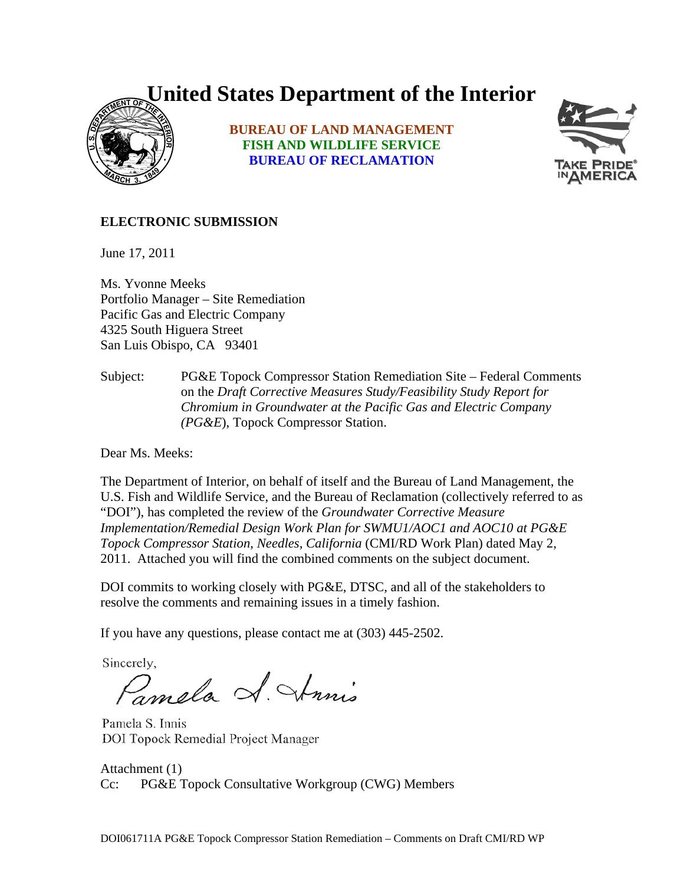## **United States Department of the Interior**



**BUREAU OF LAND MANAGEMENT FISH AND WILDLIFE SERVICE BUREAU OF RECLAMATION**



## **ELECTRONIC SUBMISSION**

June 17, 2011

Ms. Yvonne Meeks Portfolio Manager – Site Remediation Pacific Gas and Electric Company 4325 South Higuera Street San Luis Obispo, CA 93401

Subject: PG&E Topock Compressor Station Remediation Site – Federal Comments on the *Draft Corrective Measures Study/Feasibility Study Report for Chromium in Groundwater at the Pacific Gas and Electric Company (PG&E*), Topock Compressor Station.

Dear Ms. Meeks:

The Department of Interior, on behalf of itself and the Bureau of Land Management, the U.S. Fish and Wildlife Service, and the Bureau of Reclamation (collectively referred to as "DOI"), has completed the review of the *Groundwater Corrective Measure Implementation/Remedial Design Work Plan for SWMU1/AOC1 and AOC10 at PG&E Topock Compressor Station, Needles, California* (CMI/RD Work Plan) dated May 2, 2011. Attached you will find the combined comments on the subject document.

DOI commits to working closely with PG&E, DTSC, and all of the stakeholders to resolve the comments and remaining issues in a timely fashion.

If you have any questions, please contact me at (303) 445-2502.

Sincerely,

Pamala S. Strinis

Pamela S. Innis DOI Topock Remedial Project Manager

Attachment (1) Cc: PG&E Topock Consultative Workgroup (CWG) Members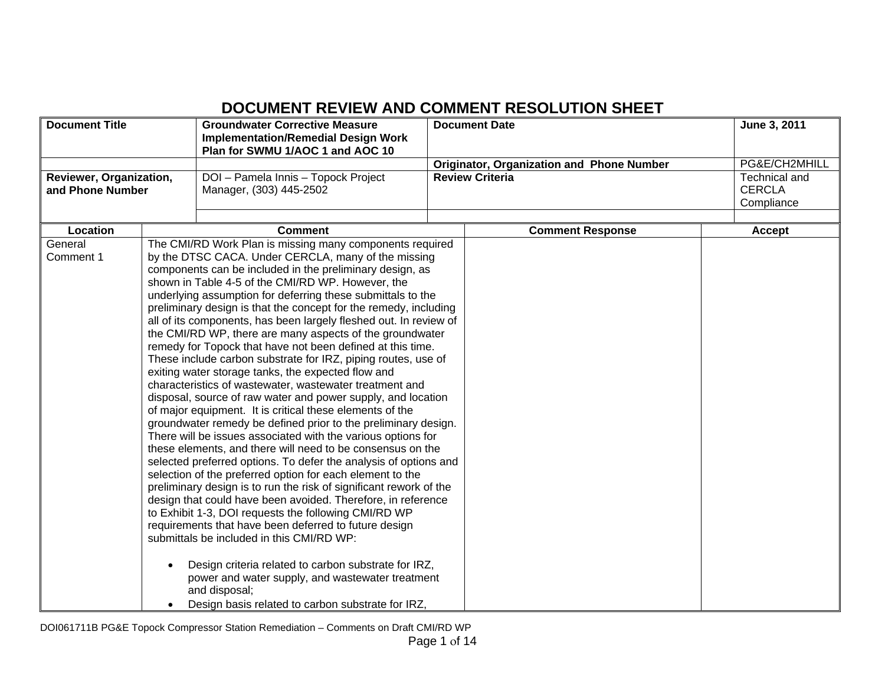## **DOCUMENT REVIEW AND COMMENT RESOLUTION SHEET**

| <b>Document Title</b>   |           | <b>Groundwater Corrective Measure</b><br><b>Implementation/Remedial Design Work</b>                           | <b>Document Date</b>                             | June 3, 2011  |
|-------------------------|-----------|---------------------------------------------------------------------------------------------------------------|--------------------------------------------------|---------------|
|                         |           | Plan for SWMU 1/AOC 1 and AOC 10                                                                              |                                                  |               |
|                         |           |                                                                                                               | <b>Originator, Organization and Phone Number</b> | PG&E/CH2MHILL |
| Reviewer, Organization, |           | DOI - Pamela Innis - Topock Project                                                                           | <b>Review Criteria</b>                           | Technical and |
| and Phone Number        |           | Manager, (303) 445-2502                                                                                       |                                                  | <b>CERCLA</b> |
|                         |           |                                                                                                               |                                                  | Compliance    |
| Location                |           | <b>Comment</b>                                                                                                | <b>Comment Response</b>                          | Accept        |
| General                 |           | The CMI/RD Work Plan is missing many components required                                                      |                                                  |               |
| Comment 1               |           | by the DTSC CACA. Under CERCLA, many of the missing                                                           |                                                  |               |
|                         |           | components can be included in the preliminary design, as                                                      |                                                  |               |
|                         |           | shown in Table 4-5 of the CMI/RD WP. However, the                                                             |                                                  |               |
|                         |           | underlying assumption for deferring these submittals to the                                                   |                                                  |               |
|                         |           | preliminary design is that the concept for the remedy, including                                              |                                                  |               |
|                         |           | all of its components, has been largely fleshed out. In review of                                             |                                                  |               |
|                         |           | the CMI/RD WP, there are many aspects of the groundwater                                                      |                                                  |               |
|                         |           | remedy for Topock that have not been defined at this time.                                                    |                                                  |               |
|                         |           | These include carbon substrate for IRZ, piping routes, use of                                                 |                                                  |               |
|                         |           | exiting water storage tanks, the expected flow and<br>characteristics of wastewater, wastewater treatment and |                                                  |               |
|                         |           | disposal, source of raw water and power supply, and location                                                  |                                                  |               |
|                         |           | of major equipment. It is critical these elements of the                                                      |                                                  |               |
|                         |           | groundwater remedy be defined prior to the preliminary design.                                                |                                                  |               |
|                         |           | There will be issues associated with the various options for                                                  |                                                  |               |
|                         |           | these elements, and there will need to be consensus on the                                                    |                                                  |               |
|                         |           | selected preferred options. To defer the analysis of options and                                              |                                                  |               |
|                         |           | selection of the preferred option for each element to the                                                     |                                                  |               |
|                         |           | preliminary design is to run the risk of significant rework of the                                            |                                                  |               |
|                         |           | design that could have been avoided. Therefore, in reference                                                  |                                                  |               |
|                         |           | to Exhibit 1-3, DOI requests the following CMI/RD WP                                                          |                                                  |               |
|                         |           | requirements that have been deferred to future design                                                         |                                                  |               |
|                         |           | submittals be included in this CMI/RD WP:                                                                     |                                                  |               |
|                         |           | Design criteria related to carbon substrate for IRZ,                                                          |                                                  |               |
|                         |           | power and water supply, and wastewater treatment                                                              |                                                  |               |
|                         |           | and disposal;                                                                                                 |                                                  |               |
|                         | $\bullet$ | Design basis related to carbon substrate for IRZ,                                                             |                                                  |               |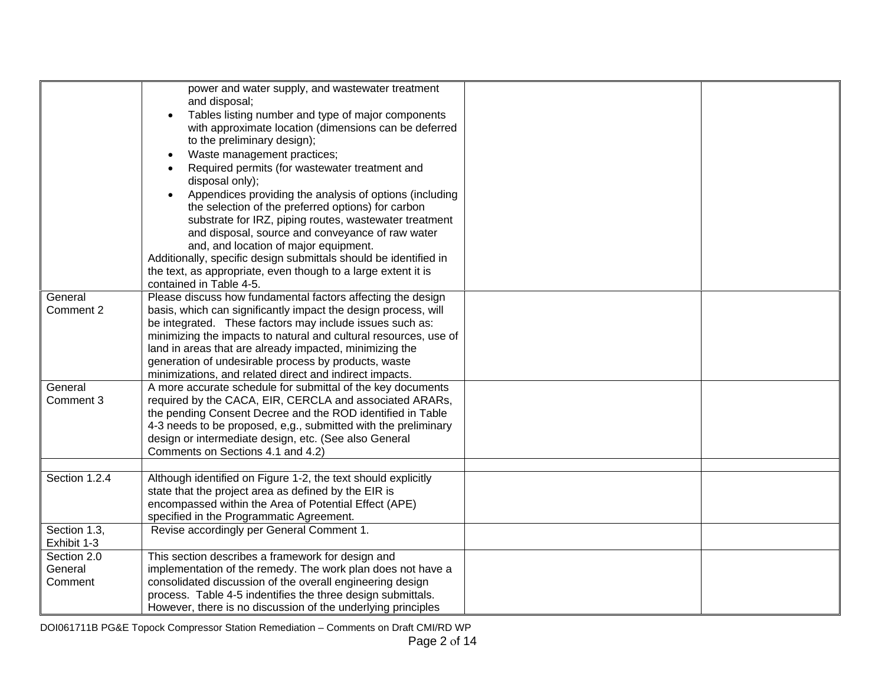|               | power and water supply, and wastewater treatment                 |
|---------------|------------------------------------------------------------------|
|               | and disposal;                                                    |
|               | Tables listing number and type of major components               |
|               | with approximate location (dimensions can be deferred            |
|               | to the preliminary design);                                      |
|               | Waste management practices;                                      |
|               | Required permits (for wastewater treatment and                   |
|               | disposal only);                                                  |
|               | Appendices providing the analysis of options (including          |
|               | the selection of the preferred options) for carbon               |
|               | substrate for IRZ, piping routes, wastewater treatment           |
|               | and disposal, source and conveyance of raw water                 |
|               | and, and location of major equipment.                            |
|               | Additionally, specific design submittals should be identified in |
|               | the text, as appropriate, even though to a large extent it is    |
|               | contained in Table 4-5.                                          |
| General       | Please discuss how fundamental factors affecting the design      |
| Comment 2     | basis, which can significantly impact the design process, will   |
|               | be integrated. These factors may include issues such as:         |
|               | minimizing the impacts to natural and cultural resources, use of |
|               | land in areas that are already impacted, minimizing the          |
|               | generation of undesirable process by products, waste             |
|               | minimizations, and related direct and indirect impacts.          |
| General       | A more accurate schedule for submittal of the key documents      |
| Comment 3     | required by the CACA, EIR, CERCLA and associated ARARs,          |
|               | the pending Consent Decree and the ROD identified in Table       |
|               | 4-3 needs to be proposed, e,g., submitted with the preliminary   |
|               | design or intermediate design, etc. (See also General            |
|               | Comments on Sections 4.1 and 4.2)                                |
|               |                                                                  |
| Section 1.2.4 | Although identified on Figure 1-2, the text should explicitly    |
|               | state that the project area as defined by the EIR is             |
|               | encompassed within the Area of Potential Effect (APE)            |
|               | specified in the Programmatic Agreement.                         |
| Section 1.3,  | Revise accordingly per General Comment 1.                        |
| Exhibit 1-3   |                                                                  |
| Section 2.0   | This section describes a framework for design and                |
| General       | implementation of the remedy. The work plan does not have a      |
| Comment       | consolidated discussion of the overall engineering design        |
|               | process. Table 4-5 indentifies the three design submittals.      |
|               | However, there is no discussion of the underlying principles     |
|               |                                                                  |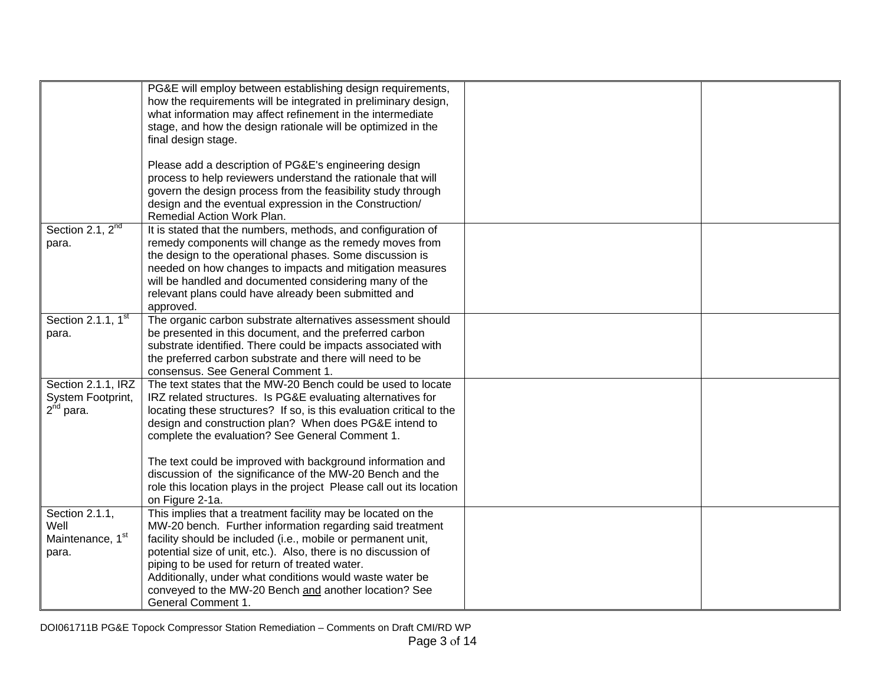|                                                                  | PG&E will employ between establishing design requirements,<br>how the requirements will be integrated in preliminary design,<br>what information may affect refinement in the intermediate<br>stage, and how the design rationale will be optimized in the<br>final design stage.                                                                                                                                                                                                                                                      |  |
|------------------------------------------------------------------|----------------------------------------------------------------------------------------------------------------------------------------------------------------------------------------------------------------------------------------------------------------------------------------------------------------------------------------------------------------------------------------------------------------------------------------------------------------------------------------------------------------------------------------|--|
|                                                                  | Please add a description of PG&E's engineering design<br>process to help reviewers understand the rationale that will<br>govern the design process from the feasibility study through<br>design and the eventual expression in the Construction/<br>Remedial Action Work Plan.                                                                                                                                                                                                                                                         |  |
| Section 2.1, 2 <sup>nd</sup><br>para.                            | It is stated that the numbers, methods, and configuration of<br>remedy components will change as the remedy moves from<br>the design to the operational phases. Some discussion is<br>needed on how changes to impacts and mitigation measures<br>will be handled and documented considering many of the<br>relevant plans could have already been submitted and<br>approved.                                                                                                                                                          |  |
| Section 2.1.1, 1 <sup>st</sup><br>para.                          | The organic carbon substrate alternatives assessment should<br>be presented in this document, and the preferred carbon<br>substrate identified. There could be impacts associated with<br>the preferred carbon substrate and there will need to be<br>consensus. See General Comment 1.                                                                                                                                                                                                                                                |  |
| Section 2.1.1, IRZ<br>System Footprint,<br>2 <sup>nd</sup> para. | The text states that the MW-20 Bench could be used to locate<br>IRZ related structures. Is PG&E evaluating alternatives for<br>locating these structures? If so, is this evaluation critical to the<br>design and construction plan? When does PG&E intend to<br>complete the evaluation? See General Comment 1.<br>The text could be improved with background information and<br>discussion of the significance of the MW-20 Bench and the<br>role this location plays in the project Please call out its location<br>on Figure 2-1a. |  |
| Section 2.1.1,<br>Well<br>Maintenance, 1 <sup>st</sup><br>para.  | This implies that a treatment facility may be located on the<br>MW-20 bench. Further information regarding said treatment<br>facility should be included (i.e., mobile or permanent unit,<br>potential size of unit, etc.). Also, there is no discussion of<br>piping to be used for return of treated water.<br>Additionally, under what conditions would waste water be<br>conveyed to the MW-20 Bench and another location? See<br>General Comment 1.                                                                               |  |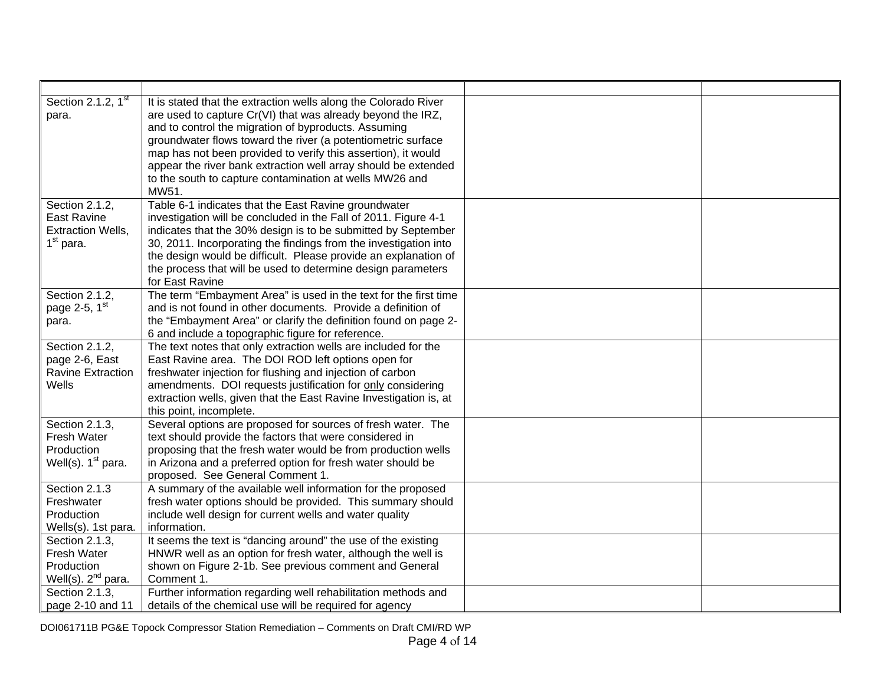| Section 2.1.2, $\overline{1^{st}}$ | It is stated that the extraction wells along the Colorado River         |  |
|------------------------------------|-------------------------------------------------------------------------|--|
| para.                              | are used to capture Cr(VI) that was already beyond the IRZ,             |  |
|                                    | and to control the migration of byproducts. Assuming                    |  |
|                                    | groundwater flows toward the river (a potentiometric surface            |  |
|                                    | map has not been provided to verify this assertion), it would           |  |
|                                    | appear the river bank extraction well array should be extended          |  |
|                                    | to the south to capture contamination at wells MW26 and                 |  |
|                                    | MW51.                                                                   |  |
| Section 2.1.2,                     | Table 6-1 indicates that the East Ravine groundwater                    |  |
| <b>East Ravine</b>                 | investigation will be concluded in the Fall of 2011. Figure 4-1         |  |
| <b>Extraction Wells,</b>           | indicates that the 30% design is to be submitted by September           |  |
| $1st$ para.                        | 30, 2011. Incorporating the findings from the investigation into        |  |
|                                    | the design would be difficult. Please provide an explanation of         |  |
|                                    | the process that will be used to determine design parameters            |  |
|                                    | for East Ravine                                                         |  |
| Section 2.1.2,                     | The term "Embayment Area" is used in the text for the first time        |  |
| page 2-5, 1st                      | and is not found in other documents. Provide a definition of            |  |
| para.                              | the "Embayment Area" or clarify the definition found on page 2-         |  |
|                                    | 6 and include a topographic figure for reference.                       |  |
| Section 2.1.2,                     | The text notes that only extraction wells are included for the          |  |
| page 2-6, East                     | East Ravine area. The DOI ROD left options open for                     |  |
| <b>Ravine Extraction</b>           | freshwater injection for flushing and injection of carbon               |  |
| Wells                              | amendments. DOI requests justification for only considering             |  |
|                                    | extraction wells, given that the East Ravine Investigation is, at       |  |
|                                    | this point, incomplete.                                                 |  |
| Section 2.1.3,                     | Several options are proposed for sources of fresh water. The            |  |
| Fresh Water                        | text should provide the factors that were considered in                 |  |
| Production                         | proposing that the fresh water would be from production wells           |  |
| Well(s). $1st$ para.               | in Arizona and a preferred option for fresh water should be             |  |
|                                    | proposed. See General Comment 1.                                        |  |
| Section 2.1.3<br>Freshwater        | A summary of the available well information for the proposed            |  |
| Production                         | fresh water options should be provided. This summary should             |  |
| Wells(s). 1st para.                | include well design for current wells and water quality<br>information. |  |
| Section 2.1.3,                     | It seems the text is "dancing around" the use of the existing           |  |
| Fresh Water                        | HNWR well as an option for fresh water, although the well is            |  |
| Production                         | shown on Figure 2-1b. See previous comment and General                  |  |
| Well(s). $2^{nd}$ para.            | Comment 1.                                                              |  |
| Section 2.1.3,                     | Further information regarding well rehabilitation methods and           |  |
| page 2-10 and 11                   | details of the chemical use will be required for agency                 |  |
|                                    |                                                                         |  |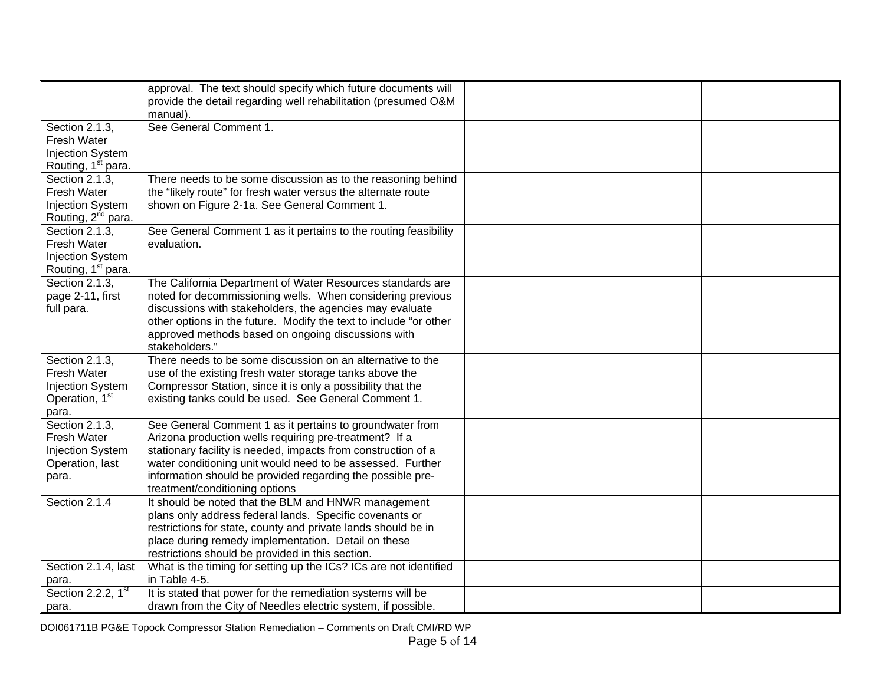|                                | approval. The text should specify which future documents will     |  |
|--------------------------------|-------------------------------------------------------------------|--|
|                                | provide the detail regarding well rehabilitation (presumed O&M    |  |
|                                | manual).                                                          |  |
| Section 2.1.3,                 | See General Comment 1.                                            |  |
| Fresh Water                    |                                                                   |  |
| <b>Injection System</b>        |                                                                   |  |
| Routing, 1 <sup>st</sup> para. |                                                                   |  |
| Section 2.1.3,                 | There needs to be some discussion as to the reasoning behind      |  |
| Fresh Water                    | the "likely route" for fresh water versus the alternate route     |  |
| <b>Injection System</b>        | shown on Figure 2-1a. See General Comment 1.                      |  |
| Routing, 2 <sup>nd</sup> para. |                                                                   |  |
| Section 2.1.3,                 | See General Comment 1 as it pertains to the routing feasibility   |  |
| Fresh Water                    | evaluation.                                                       |  |
| <b>Injection System</b>        |                                                                   |  |
| Routing, 1 <sup>st</sup> para. |                                                                   |  |
| Section 2.1.3.                 | The California Department of Water Resources standards are        |  |
| page 2-11, first               | noted for decommissioning wells. When considering previous        |  |
| full para.                     | discussions with stakeholders, the agencies may evaluate          |  |
|                                | other options in the future. Modify the text to include "or other |  |
|                                | approved methods based on ongoing discussions with                |  |
|                                | stakeholders."                                                    |  |
| Section 2.1.3,                 | There needs to be some discussion on an alternative to the        |  |
| Fresh Water                    | use of the existing fresh water storage tanks above the           |  |
| <b>Injection System</b>        | Compressor Station, since it is only a possibility that the       |  |
| Operation, 1 <sup>st</sup>     | existing tanks could be used. See General Comment 1.              |  |
| para.                          |                                                                   |  |
| Section 2.1.3,                 | See General Comment 1 as it pertains to groundwater from          |  |
| Fresh Water                    | Arizona production wells requiring pre-treatment? If a            |  |
| <b>Injection System</b>        | stationary facility is needed, impacts from construction of a     |  |
| Operation, last                | water conditioning unit would need to be assessed. Further        |  |
| para.                          | information should be provided regarding the possible pre-        |  |
|                                | treatment/conditioning options                                    |  |
| Section 2.1.4                  | It should be noted that the BLM and HNWR management               |  |
|                                | plans only address federal lands. Specific covenants or           |  |
|                                | restrictions for state, county and private lands should be in     |  |
|                                | place during remedy implementation. Detail on these               |  |
|                                | restrictions should be provided in this section.                  |  |
| Section 2.1.4, last            | What is the timing for setting up the ICs? ICs are not identified |  |
| para.                          | in Table 4-5.                                                     |  |
| Section 2.2.2, 1st             | It is stated that power for the remediation systems will be       |  |
| para.                          | drawn from the City of Needles electric system, if possible.      |  |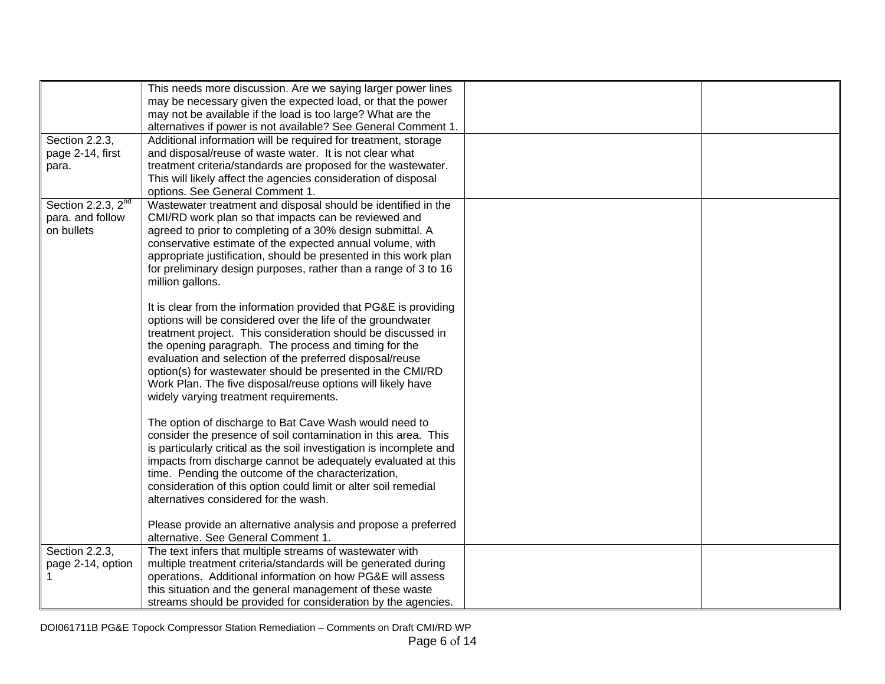|                         | This needs more discussion. Are we saying larger power lines         |  |
|-------------------------|----------------------------------------------------------------------|--|
|                         | may be necessary given the expected load, or that the power          |  |
|                         | may not be available if the load is too large? What are the          |  |
|                         | alternatives if power is not available? See General Comment 1.       |  |
| Section 2.2.3,          | Additional information will be required for treatment, storage       |  |
| page 2-14, first        | and disposal/reuse of waste water. It is not clear what              |  |
| para.                   | treatment criteria/standards are proposed for the wastewater.        |  |
|                         | This will likely affect the agencies consideration of disposal       |  |
|                         | options. See General Comment 1.                                      |  |
| Section 2.2.3, $2^{nd}$ | Wastewater treatment and disposal should be identified in the        |  |
| para. and follow        | CMI/RD work plan so that impacts can be reviewed and                 |  |
| on bullets              | agreed to prior to completing of a 30% design submittal. A           |  |
|                         | conservative estimate of the expected annual volume, with            |  |
|                         |                                                                      |  |
|                         | appropriate justification, should be presented in this work plan     |  |
|                         | for preliminary design purposes, rather than a range of 3 to 16      |  |
|                         | million gallons.                                                     |  |
|                         |                                                                      |  |
|                         | It is clear from the information provided that PG&E is providing     |  |
|                         | options will be considered over the life of the groundwater          |  |
|                         | treatment project. This consideration should be discussed in         |  |
|                         | the opening paragraph. The process and timing for the                |  |
|                         | evaluation and selection of the preferred disposal/reuse             |  |
|                         | option(s) for wastewater should be presented in the CMI/RD           |  |
|                         | Work Plan. The five disposal/reuse options will likely have          |  |
|                         | widely varying treatment requirements.                               |  |
|                         |                                                                      |  |
|                         | The option of discharge to Bat Cave Wash would need to               |  |
|                         | consider the presence of soil contamination in this area. This       |  |
|                         | is particularly critical as the soil investigation is incomplete and |  |
|                         | impacts from discharge cannot be adequately evaluated at this        |  |
|                         | time. Pending the outcome of the characterization,                   |  |
|                         | consideration of this option could limit or alter soil remedial      |  |
|                         | alternatives considered for the wash.                                |  |
|                         |                                                                      |  |
|                         | Please provide an alternative analysis and propose a preferred       |  |
|                         | alternative. See General Comment 1.                                  |  |
| Section 2.2.3,          | The text infers that multiple streams of wastewater with             |  |
| page 2-14, option       | multiple treatment criteria/standards will be generated during       |  |
| 1.                      | operations. Additional information on how PG&E will assess           |  |
|                         | this situation and the general management of these waste             |  |
|                         | streams should be provided for consideration by the agencies.        |  |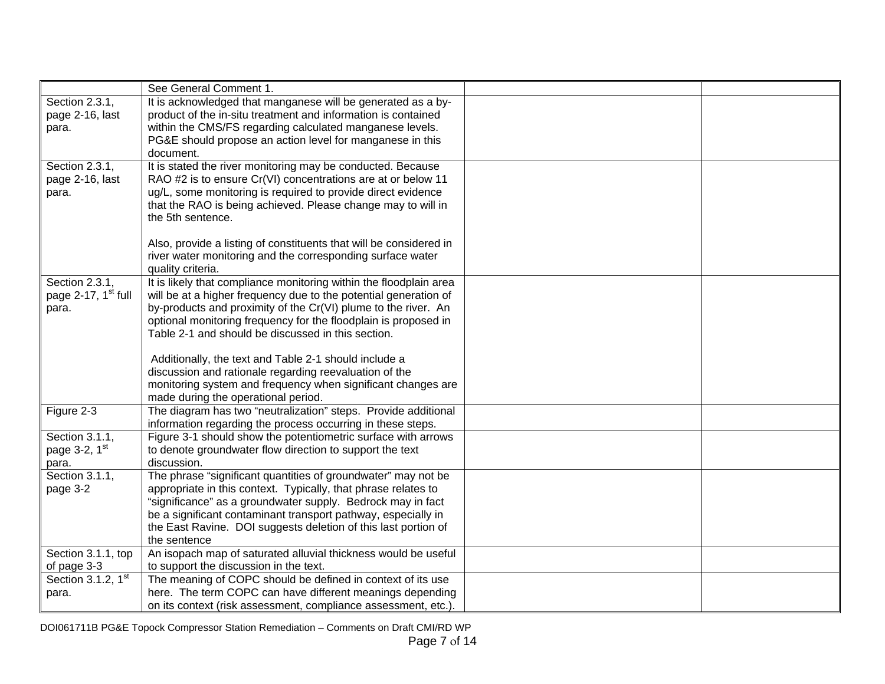|                                                            | See General Comment 1.                                                                                                                                                                                                                                                                                                            |  |
|------------------------------------------------------------|-----------------------------------------------------------------------------------------------------------------------------------------------------------------------------------------------------------------------------------------------------------------------------------------------------------------------------------|--|
| Section 2.3.1,<br>page 2-16, last<br>para.                 | It is acknowledged that manganese will be generated as a by-<br>product of the in-situ treatment and information is contained<br>within the CMS/FS regarding calculated manganese levels.                                                                                                                                         |  |
|                                                            | PG&E should propose an action level for manganese in this<br>document.                                                                                                                                                                                                                                                            |  |
| Section 2.3.1,<br>page 2-16, last<br>para.                 | It is stated the river monitoring may be conducted. Because<br>RAO #2 is to ensure Cr(VI) concentrations are at or below 11<br>ug/L, some monitoring is required to provide direct evidence<br>that the RAO is being achieved. Please change may to will in<br>the 5th sentence.                                                  |  |
|                                                            | Also, provide a listing of constituents that will be considered in<br>river water monitoring and the corresponding surface water<br>quality criteria.                                                                                                                                                                             |  |
| Section 2.3.1,<br>page 2-17, 1 <sup>st</sup> full<br>para. | It is likely that compliance monitoring within the floodplain area<br>will be at a higher frequency due to the potential generation of<br>by-products and proximity of the Cr(VI) plume to the river. An                                                                                                                          |  |
|                                                            | optional monitoring frequency for the floodplain is proposed in<br>Table 2-1 and should be discussed in this section.                                                                                                                                                                                                             |  |
|                                                            | Additionally, the text and Table 2-1 should include a<br>discussion and rationale regarding reevaluation of the<br>monitoring system and frequency when significant changes are<br>made during the operational period.                                                                                                            |  |
| Figure 2-3                                                 | The diagram has two "neutralization" steps. Provide additional<br>information regarding the process occurring in these steps.                                                                                                                                                                                                     |  |
| Section 3.1.1,<br>page 3-2, 1st<br>para.                   | Figure 3-1 should show the potentiometric surface with arrows<br>to denote groundwater flow direction to support the text<br>discussion.                                                                                                                                                                                          |  |
| Section 3.1.1,<br>page 3-2                                 | The phrase "significant quantities of groundwater" may not be<br>appropriate in this context. Typically, that phrase relates to<br>"significance" as a groundwater supply. Bedrock may in fact<br>be a significant contaminant transport pathway, especially in<br>the East Ravine. DOI suggests deletion of this last portion of |  |
| Section 3.1.1, top                                         | the sentence<br>An isopach map of saturated alluvial thickness would be useful                                                                                                                                                                                                                                                    |  |
| of page 3-3                                                | to support the discussion in the text.                                                                                                                                                                                                                                                                                            |  |
| Section 3.1.2, 1 <sup>st</sup>                             | The meaning of COPC should be defined in context of its use                                                                                                                                                                                                                                                                       |  |
| para.                                                      | here. The term COPC can have different meanings depending<br>on its context (risk assessment, compliance assessment, etc.).                                                                                                                                                                                                       |  |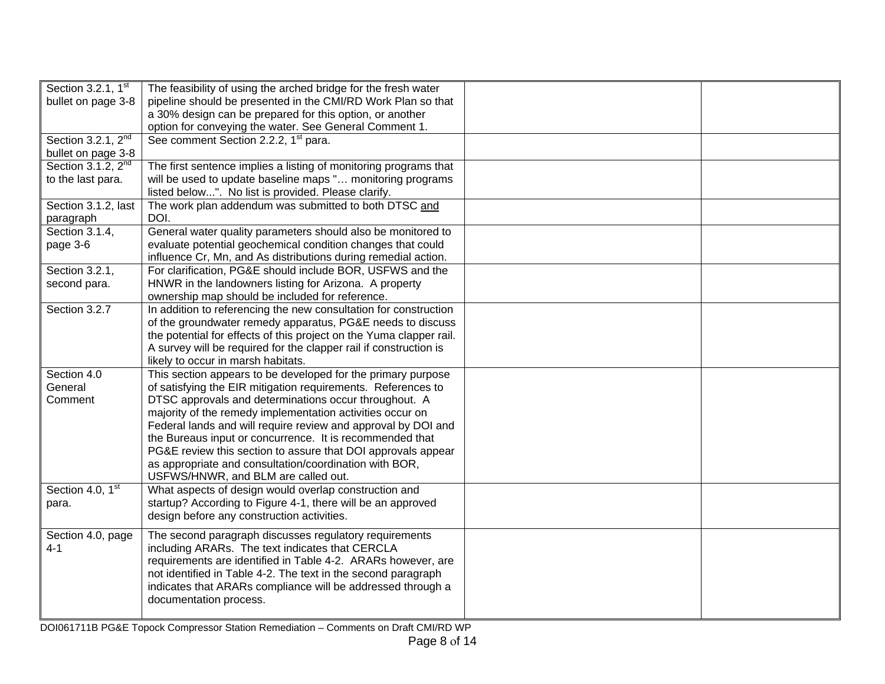| Section 3.2.1, 1 <sup>st</sup> | The feasibility of using the arched bridge for the fresh water      |  |
|--------------------------------|---------------------------------------------------------------------|--|
|                                |                                                                     |  |
| bullet on page 3-8             | pipeline should be presented in the CMI/RD Work Plan so that        |  |
|                                | a 30% design can be prepared for this option, or another            |  |
|                                | option for conveying the water. See General Comment 1.              |  |
| Section 3.2.1, 2 <sup>nd</sup> | See comment Section 2.2.2, 1 <sup>st</sup> para.                    |  |
| bullet on page 3-8             |                                                                     |  |
| Section 3.1.2, 2 <sup>nd</sup> | The first sentence implies a listing of monitoring programs that    |  |
| to the last para.              | will be used to update baseline maps " monitoring programs          |  |
|                                | listed below". No list is provided. Please clarify.                 |  |
| Section 3.1.2, last            | The work plan addendum was submitted to both DTSC and               |  |
| paragraph                      | DOI.                                                                |  |
| Section 3.1.4,                 | General water quality parameters should also be monitored to        |  |
| page 3-6                       | evaluate potential geochemical condition changes that could         |  |
|                                | influence Cr, Mn, and As distributions during remedial action.      |  |
| Section 3.2.1,                 | For clarification, PG&E should include BOR, USFWS and the           |  |
| second para.                   | HNWR in the landowners listing for Arizona. A property              |  |
|                                | ownership map should be included for reference.                     |  |
| Section 3.2.7                  | In addition to referencing the new consultation for construction    |  |
|                                | of the groundwater remedy apparatus, PG&E needs to discuss          |  |
|                                | the potential for effects of this project on the Yuma clapper rail. |  |
|                                | A survey will be required for the clapper rail if construction is   |  |
|                                | likely to occur in marsh habitats.                                  |  |
| Section 4.0                    | This section appears to be developed for the primary purpose        |  |
| General                        |                                                                     |  |
|                                | of satisfying the EIR mitigation requirements. References to        |  |
| Comment                        | DTSC approvals and determinations occur throughout. A               |  |
|                                | majority of the remedy implementation activities occur on           |  |
|                                | Federal lands and will require review and approval by DOI and       |  |
|                                | the Bureaus input or concurrence. It is recommended that            |  |
|                                | PG&E review this section to assure that DOI approvals appear        |  |
|                                | as appropriate and consultation/coordination with BOR,              |  |
|                                | USFWS/HNWR, and BLM are called out.                                 |  |
| Section 4.0, $1st$             | What aspects of design would overlap construction and               |  |
| para.                          | startup? According to Figure 4-1, there will be an approved         |  |
|                                | design before any construction activities.                          |  |
|                                |                                                                     |  |
| Section 4.0, page              | The second paragraph discusses regulatory requirements              |  |
| 4-1                            | including ARARs. The text indicates that CERCLA                     |  |
|                                | requirements are identified in Table 4-2. ARARs however, are        |  |
|                                | not identified in Table 4-2. The text in the second paragraph       |  |
|                                | indicates that ARARs compliance will be addressed through a         |  |
|                                | documentation process.                                              |  |
|                                |                                                                     |  |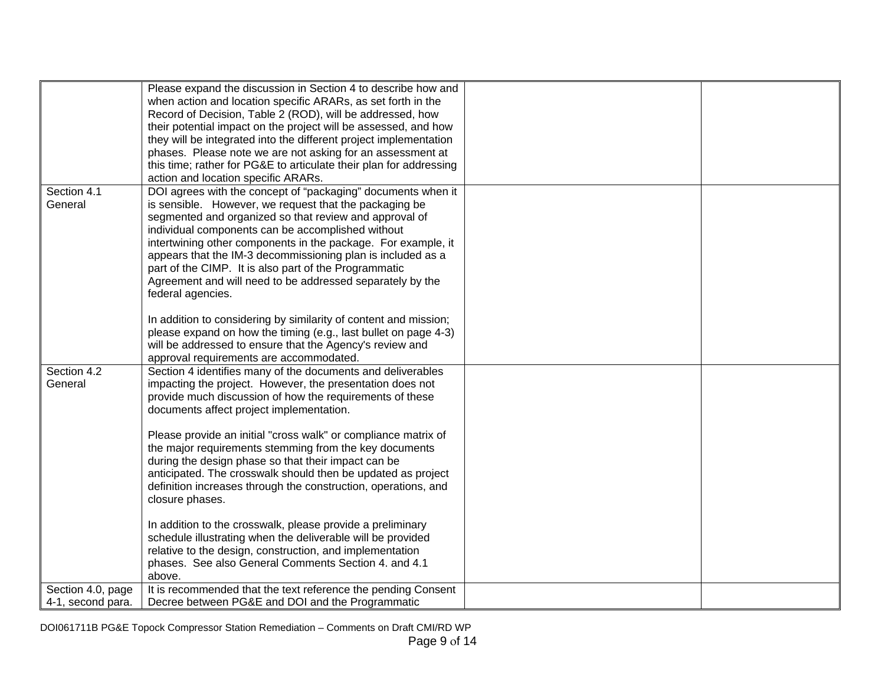|                                        | Please expand the discussion in Section 4 to describe how and<br>when action and location specific ARARs, as set forth in the<br>Record of Decision, Table 2 (ROD), will be addressed, how<br>their potential impact on the project will be assessed, and how<br>they will be integrated into the different project implementation<br>phases. Please note we are not asking for an assessment at<br>this time; rather for PG&E to articulate their plan for addressing<br>action and location specific ARARs.                                                                                                                                           |  |
|----------------------------------------|---------------------------------------------------------------------------------------------------------------------------------------------------------------------------------------------------------------------------------------------------------------------------------------------------------------------------------------------------------------------------------------------------------------------------------------------------------------------------------------------------------------------------------------------------------------------------------------------------------------------------------------------------------|--|
| Section 4.1<br>General                 | DOI agrees with the concept of "packaging" documents when it<br>is sensible. However, we request that the packaging be<br>segmented and organized so that review and approval of<br>individual components can be accomplished without<br>intertwining other components in the package. For example, it<br>appears that the IM-3 decommissioning plan is included as a<br>part of the CIMP. It is also part of the Programmatic<br>Agreement and will need to be addressed separately by the<br>federal agencies.<br>In addition to considering by similarity of content and mission;<br>please expand on how the timing (e.g., last bullet on page 4-3) |  |
|                                        | will be addressed to ensure that the Agency's review and<br>approval requirements are accommodated.                                                                                                                                                                                                                                                                                                                                                                                                                                                                                                                                                     |  |
| Section 4.2<br>General                 | Section 4 identifies many of the documents and deliverables<br>impacting the project. However, the presentation does not<br>provide much discussion of how the requirements of these<br>documents affect project implementation.<br>Please provide an initial "cross walk" or compliance matrix of<br>the major requirements stemming from the key documents<br>during the design phase so that their impact can be                                                                                                                                                                                                                                     |  |
|                                        | anticipated. The crosswalk should then be updated as project<br>definition increases through the construction, operations, and<br>closure phases.                                                                                                                                                                                                                                                                                                                                                                                                                                                                                                       |  |
|                                        | In addition to the crosswalk, please provide a preliminary<br>schedule illustrating when the deliverable will be provided<br>relative to the design, construction, and implementation<br>phases. See also General Comments Section 4. and 4.1<br>above.                                                                                                                                                                                                                                                                                                                                                                                                 |  |
| Section 4.0, page<br>4-1, second para. | It is recommended that the text reference the pending Consent<br>Decree between PG&E and DOI and the Programmatic                                                                                                                                                                                                                                                                                                                                                                                                                                                                                                                                       |  |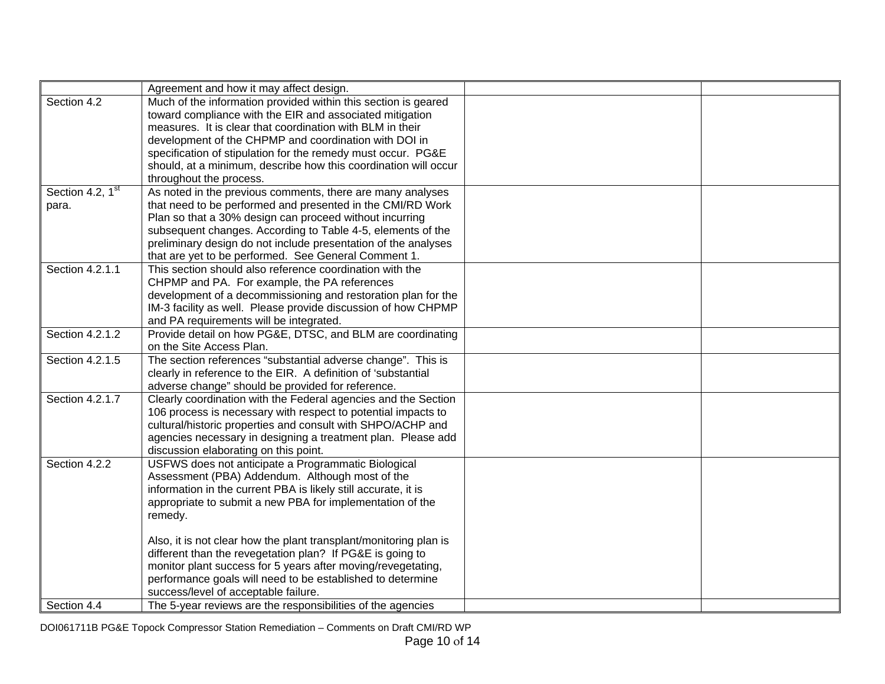|                              | Agreement and how it may affect design.                           |  |
|------------------------------|-------------------------------------------------------------------|--|
| Section 4.2                  | Much of the information provided within this section is geared    |  |
|                              | toward compliance with the EIR and associated mitigation          |  |
|                              | measures. It is clear that coordination with BLM in their         |  |
|                              | development of the CHPMP and coordination with DOI in             |  |
|                              | specification of stipulation for the remedy must occur. PG&E      |  |
|                              | should, at a minimum, describe how this coordination will occur   |  |
|                              | throughout the process.                                           |  |
| Section 4.2, 1 <sup>st</sup> | As noted in the previous comments, there are many analyses        |  |
| para.                        | that need to be performed and presented in the CMI/RD Work        |  |
|                              | Plan so that a 30% design can proceed without incurring           |  |
|                              | subsequent changes. According to Table 4-5, elements of the       |  |
|                              | preliminary design do not include presentation of the analyses    |  |
|                              | that are yet to be performed. See General Comment 1.              |  |
| Section 4.2.1.1              | This section should also reference coordination with the          |  |
|                              | CHPMP and PA. For example, the PA references                      |  |
|                              | development of a decommissioning and restoration plan for the     |  |
|                              | IM-3 facility as well. Please provide discussion of how CHPMP     |  |
|                              | and PA requirements will be integrated.                           |  |
| Section 4.2.1.2              | Provide detail on how PG&E, DTSC, and BLM are coordinating        |  |
|                              | on the Site Access Plan.                                          |  |
| Section 4.2.1.5              | The section references "substantial adverse change". This is      |  |
|                              | clearly in reference to the EIR. A definition of 'substantial     |  |
|                              | adverse change" should be provided for reference.                 |  |
| Section 4.2.1.7              | Clearly coordination with the Federal agencies and the Section    |  |
|                              | 106 process is necessary with respect to potential impacts to     |  |
|                              | cultural/historic properties and consult with SHPO/ACHP and       |  |
|                              | agencies necessary in designing a treatment plan. Please add      |  |
|                              | discussion elaborating on this point.                             |  |
| Section 4.2.2                | USFWS does not anticipate a Programmatic Biological               |  |
|                              | Assessment (PBA) Addendum. Although most of the                   |  |
|                              | information in the current PBA is likely still accurate, it is    |  |
|                              | appropriate to submit a new PBA for implementation of the         |  |
|                              | remedy.                                                           |  |
|                              |                                                                   |  |
|                              | Also, it is not clear how the plant transplant/monitoring plan is |  |
|                              | different than the revegetation plan? If PG&E is going to         |  |
|                              | monitor plant success for 5 years after moving/revegetating,      |  |
|                              | performance goals will need to be established to determine        |  |
|                              | success/level of acceptable failure.                              |  |
| Section 4.4                  | The 5-year reviews are the responsibilities of the agencies       |  |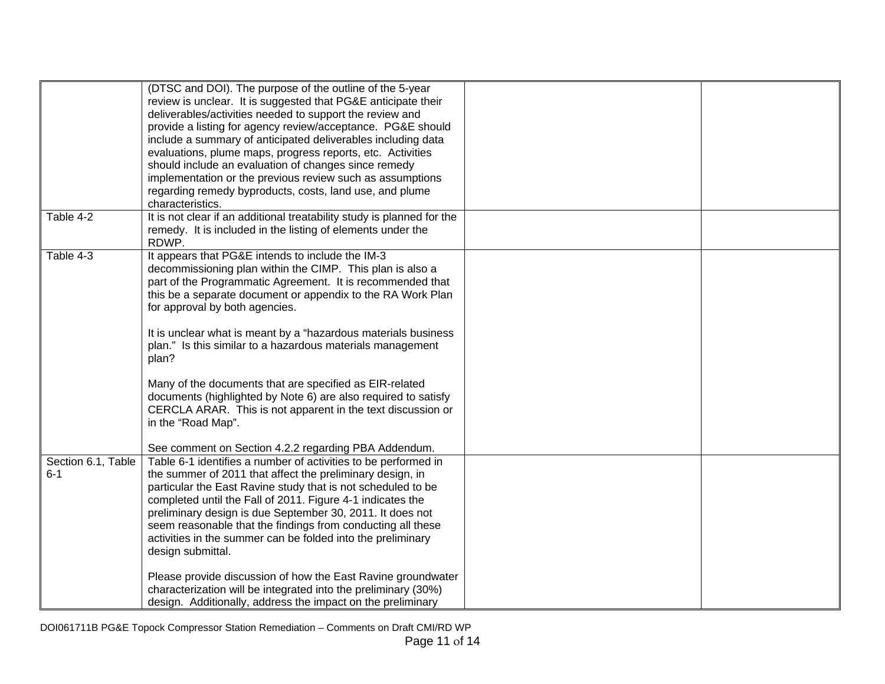| Table 4-2                     | (DTSC and DOI). The purpose of the outline of the 5-year<br>review is unclear. It is suggested that PG&E anticipate their<br>deliverables/activities needed to support the review and<br>provide a listing for agency review/acceptance. PG&E should<br>include a summary of anticipated deliverables including data<br>evaluations, plume maps, progress reports, etc. Activities<br>should include an evaluation of changes since remedy<br>implementation or the previous review such as assumptions<br>regarding remedy byproducts, costs, land use, and plume<br>characteristics.<br>It is not clear if an additional treatability study is planned for the                                |  |
|-------------------------------|-------------------------------------------------------------------------------------------------------------------------------------------------------------------------------------------------------------------------------------------------------------------------------------------------------------------------------------------------------------------------------------------------------------------------------------------------------------------------------------------------------------------------------------------------------------------------------------------------------------------------------------------------------------------------------------------------|--|
|                               | remedy. It is included in the listing of elements under the<br>RDWP.                                                                                                                                                                                                                                                                                                                                                                                                                                                                                                                                                                                                                            |  |
| Table 4-3                     | It appears that PG&E intends to include the IM-3<br>decommissioning plan within the CIMP. This plan is also a<br>part of the Programmatic Agreement. It is recommended that<br>this be a separate document or appendix to the RA Work Plan<br>for approval by both agencies.<br>It is unclear what is meant by a "hazardous materials business<br>plan." Is this similar to a hazardous materials management<br>plan?<br>Many of the documents that are specified as EIR-related<br>documents (highlighted by Note 6) are also required to satisfy<br>CERCLA ARAR. This is not apparent in the text discussion or<br>in the "Road Map".<br>See comment on Section 4.2.2 regarding PBA Addendum. |  |
| Section 6.1, Table<br>$6 - 1$ | Table 6-1 identifies a number of activities to be performed in<br>the summer of 2011 that affect the preliminary design, in<br>particular the East Ravine study that is not scheduled to be<br>completed until the Fall of 2011. Figure 4-1 indicates the<br>preliminary design is due September 30, 2011. It does not<br>seem reasonable that the findings from conducting all these<br>activities in the summer can be folded into the preliminary<br>design submittal.<br>Please provide discussion of how the East Ravine groundwater<br>characterization will be integrated into the preliminary (30%)<br>design. Additionally, address the impact on the preliminary                      |  |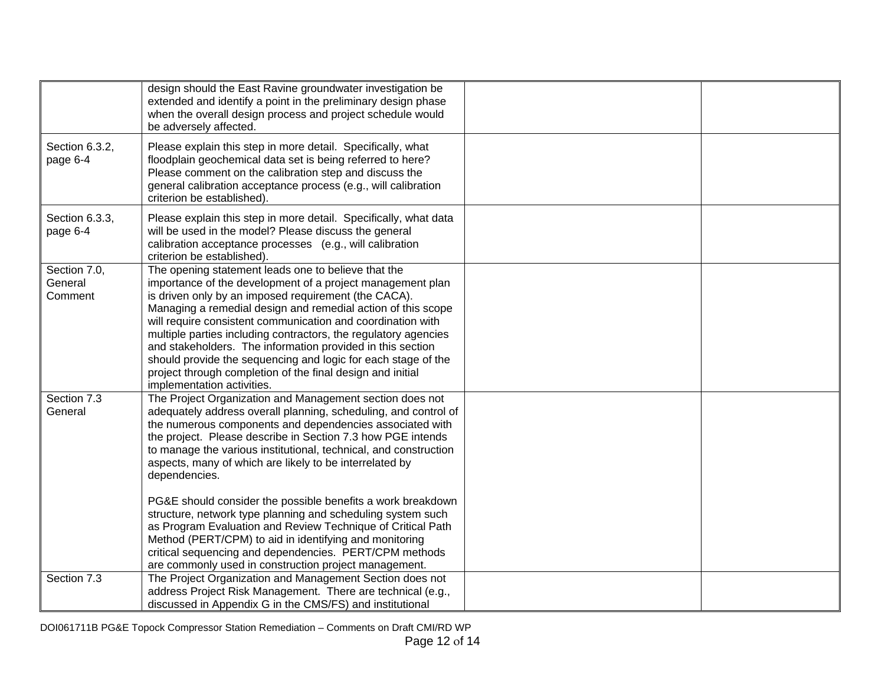|                                    | design should the East Ravine groundwater investigation be<br>extended and identify a point in the preliminary design phase<br>when the overall design process and project schedule would<br>be adversely affected.                                                                                                                                                                                                                                                                                                                                                                                                                                                                                                     |  |
|------------------------------------|-------------------------------------------------------------------------------------------------------------------------------------------------------------------------------------------------------------------------------------------------------------------------------------------------------------------------------------------------------------------------------------------------------------------------------------------------------------------------------------------------------------------------------------------------------------------------------------------------------------------------------------------------------------------------------------------------------------------------|--|
| Section 6.3.2,<br>page 6-4         | Please explain this step in more detail. Specifically, what<br>floodplain geochemical data set is being referred to here?<br>Please comment on the calibration step and discuss the<br>general calibration acceptance process (e.g., will calibration<br>criterion be established)                                                                                                                                                                                                                                                                                                                                                                                                                                      |  |
| Section 6.3.3,<br>page 6-4         | Please explain this step in more detail. Specifically, what data<br>will be used in the model? Please discuss the general<br>calibration acceptance processes (e.g., will calibration<br>criterion be established).                                                                                                                                                                                                                                                                                                                                                                                                                                                                                                     |  |
| Section 7.0,<br>General<br>Comment | The opening statement leads one to believe that the<br>importance of the development of a project management plan<br>is driven only by an imposed requirement (the CACA).<br>Managing a remedial design and remedial action of this scope<br>will require consistent communication and coordination with<br>multiple parties including contractors, the regulatory agencies<br>and stakeholders. The information provided in this section<br>should provide the sequencing and logic for each stage of the<br>project through completion of the final design and initial<br>implementation activities.                                                                                                                  |  |
| Section 7.3<br>General             | The Project Organization and Management section does not<br>adequately address overall planning, scheduling, and control of<br>the numerous components and dependencies associated with<br>the project. Please describe in Section 7.3 how PGE intends<br>to manage the various institutional, technical, and construction<br>aspects, many of which are likely to be interrelated by<br>dependencies.<br>PG&E should consider the possible benefits a work breakdown<br>structure, network type planning and scheduling system such<br>as Program Evaluation and Review Technique of Critical Path<br>Method (PERT/CPM) to aid in identifying and monitoring<br>critical sequencing and dependencies. PERT/CPM methods |  |
|                                    | are commonly used in construction project management.                                                                                                                                                                                                                                                                                                                                                                                                                                                                                                                                                                                                                                                                   |  |
| Section 7.3                        | The Project Organization and Management Section does not<br>address Project Risk Management. There are technical (e.g.,<br>discussed in Appendix G in the CMS/FS) and institutional                                                                                                                                                                                                                                                                                                                                                                                                                                                                                                                                     |  |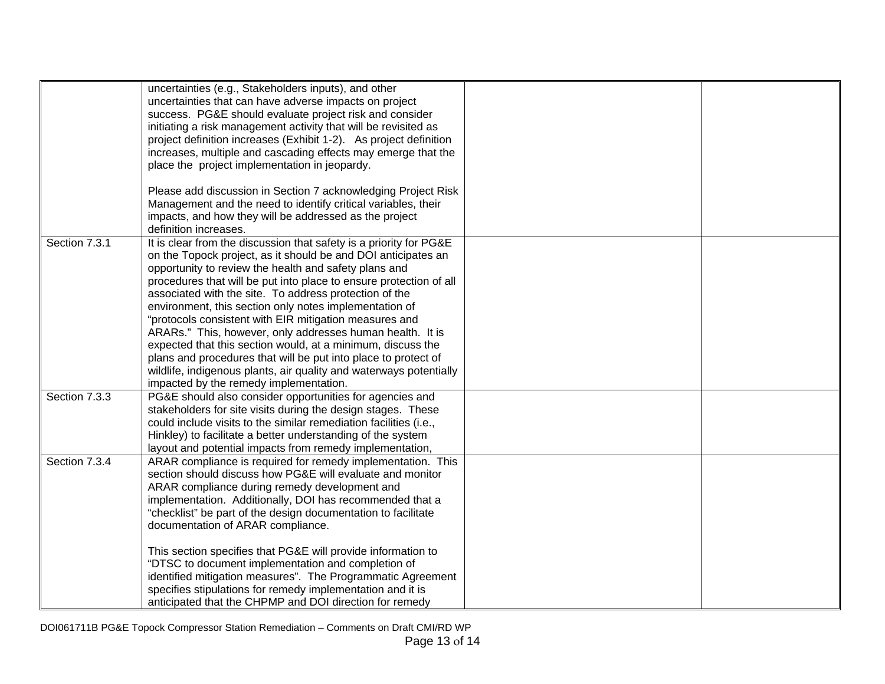|               | uncertainties (e.g., Stakeholders inputs), and other               |  |
|---------------|--------------------------------------------------------------------|--|
|               | uncertainties that can have adverse impacts on project             |  |
|               | success. PG&E should evaluate project risk and consider            |  |
|               | initiating a risk management activity that will be revisited as    |  |
|               | project definition increases (Exhibit 1-2). As project definition  |  |
|               | increases, multiple and cascading effects may emerge that the      |  |
|               | place the project implementation in jeopardy.                      |  |
|               |                                                                    |  |
|               | Please add discussion in Section 7 acknowledging Project Risk      |  |
|               | Management and the need to identify critical variables, their      |  |
|               | impacts, and how they will be addressed as the project             |  |
|               | definition increases.                                              |  |
| Section 7.3.1 | It is clear from the discussion that safety is a priority for PG&E |  |
|               | on the Topock project, as it should be and DOI anticipates an      |  |
|               | opportunity to review the health and safety plans and              |  |
|               | procedures that will be put into place to ensure protection of all |  |
|               | associated with the site. To address protection of the             |  |
|               | environment, this section only notes implementation of             |  |
|               | "protocols consistent with EIR mitigation measures and             |  |
|               | ARARs." This, however, only addresses human health. It is          |  |
|               | expected that this section would, at a minimum, discuss the        |  |
|               | plans and procedures that will be put into place to protect of     |  |
|               | wildlife, indigenous plants, air quality and waterways potentially |  |
|               | impacted by the remedy implementation.                             |  |
| Section 7.3.3 | PG&E should also consider opportunities for agencies and           |  |
|               | stakeholders for site visits during the design stages. These       |  |
|               | could include visits to the similar remediation facilities (i.e.,  |  |
|               | Hinkley) to facilitate a better understanding of the system        |  |
|               | layout and potential impacts from remedy implementation,           |  |
| Section 7.3.4 | ARAR compliance is required for remedy implementation. This        |  |
|               | section should discuss how PG&E will evaluate and monitor          |  |
|               | ARAR compliance during remedy development and                      |  |
|               | implementation. Additionally, DOI has recommended that a           |  |
|               | "checklist" be part of the design documentation to facilitate      |  |
|               | documentation of ARAR compliance.                                  |  |
|               |                                                                    |  |
|               | This section specifies that PG&E will provide information to       |  |
|               | "DTSC to document implementation and completion of                 |  |
|               | identified mitigation measures". The Programmatic Agreement        |  |
|               | specifies stipulations for remedy implementation and it is         |  |
|               | anticipated that the CHPMP and DOI direction for remedy            |  |